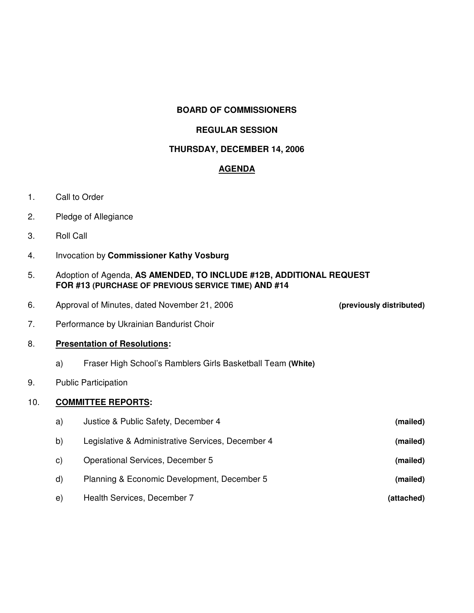# **BOARD OF COMMISSIONERS**

# **REGULAR SESSION**

### **THURSDAY, DECEMBER 14, 2006**

### **AGENDA**

- 1. Call to Order
- 2. Pledge of Allegiance
- 3. Roll Call
- 4. Invocation by **Commissioner Kathy Vosburg**
- 5. Adoption of Agenda, **AS AMENDED, TO INCLUDE #12B, ADDITIONAL REQUEST FOR #13 (PURCHASE OF PREVIOUS SERVICE TIME) AND #14**
- 6. Approval of Minutes, dated November 21, 2006 **(previously distributed)**

7. Performance by Ukrainian Bandurist Choir

#### 8. **Presentation of Resolutions:**

- a) Fraser High School's Ramblers Girls Basketball Team **(White)**
- 9. Public Participation

# 10. **COMMITTEE REPORTS:**

| a) | Justice & Public Safety, December 4               | (mailed)   |
|----|---------------------------------------------------|------------|
| b) | Legislative & Administrative Services, December 4 | (mailed)   |
| C) | <b>Operational Services, December 5</b>           | (mailed)   |
| d) | Planning & Economic Development, December 5       | (mailed)   |
| e) | Health Services, December 7                       | (attached) |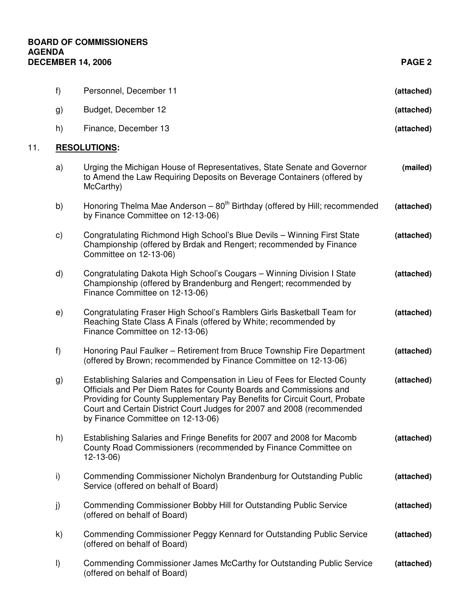# **BOARD OF COMMISSIONERS AGENDA DECEMBER 14, 2006 PAGE 2**

11. **RESOLUTIONS:**

|                     | f)            | Personnel, December 11                                                                                                                                                                                                                                                                                                                       | (attached) |  |
|---------------------|---------------|----------------------------------------------------------------------------------------------------------------------------------------------------------------------------------------------------------------------------------------------------------------------------------------------------------------------------------------------|------------|--|
|                     | g)            | Budget, December 12                                                                                                                                                                                                                                                                                                                          | (attached) |  |
|                     | h)            | Finance, December 13                                                                                                                                                                                                                                                                                                                         | (attached) |  |
| <b>RESOLUTIONS:</b> |               |                                                                                                                                                                                                                                                                                                                                              |            |  |
|                     | a)            | Urging the Michigan House of Representatives, State Senate and Governor<br>to Amend the Law Requiring Deposits on Beverage Containers (offered by<br>McCarthy)                                                                                                                                                                               | (mailed)   |  |
|                     | b)            | Honoring Thelma Mae Anderson $-80th$ Birthday (offered by Hill; recommended<br>by Finance Committee on 12-13-06)                                                                                                                                                                                                                             | (attached) |  |
|                     | $\mathsf{c})$ | Congratulating Richmond High School's Blue Devils - Winning First State<br>Championship (offered by Brdak and Rengert; recommended by Finance<br>Committee on 12-13-06)                                                                                                                                                                      | (attached) |  |
|                     | d)            | Congratulating Dakota High School's Cougars - Winning Division I State<br>Championship (offered by Brandenburg and Rengert; recommended by<br>Finance Committee on 12-13-06)                                                                                                                                                                 | (attached) |  |
|                     | e)            | Congratulating Fraser High School's Ramblers Girls Basketball Team for<br>Reaching State Class A Finals (offered by White; recommended by<br>Finance Committee on 12-13-06)                                                                                                                                                                  | (attached) |  |
|                     | f)            | Honoring Paul Faulker - Retirement from Bruce Township Fire Department<br>(offered by Brown; recommended by Finance Committee on 12-13-06)                                                                                                                                                                                                   | (attached) |  |
|                     | g)            | Establishing Salaries and Compensation in Lieu of Fees for Elected County<br>Officials and Per Diem Rates for County Boards and Commissions and<br>Providing for County Supplementary Pay Benefits for Circuit Court, Probate<br>Court and Certain District Court Judges for 2007 and 2008 (recommended<br>by Finance Committee on 12-13-06) | (attached) |  |
|                     | h)            | Establishing Salaries and Fringe Benefits for 2007 and 2008 for Macomb<br>County Road Commissioners (recommended by Finance Committee on<br>$12 - 13 - 06$                                                                                                                                                                                   | (attached) |  |
|                     | i)            | Commending Commissioner Nicholyn Brandenburg for Outstanding Public<br>Service (offered on behalf of Board)                                                                                                                                                                                                                                  | (attached) |  |
|                     | j)            | Commending Commissioner Bobby Hill for Outstanding Public Service<br>(offered on behalf of Board)                                                                                                                                                                                                                                            | (attached) |  |
|                     | k)            | Commending Commissioner Peggy Kennard for Outstanding Public Service<br>(offered on behalf of Board)                                                                                                                                                                                                                                         | (attached) |  |
|                     | $\vert$       | Commending Commissioner James McCarthy for Outstanding Public Service<br>(offered on behalf of Board)                                                                                                                                                                                                                                        | (attached) |  |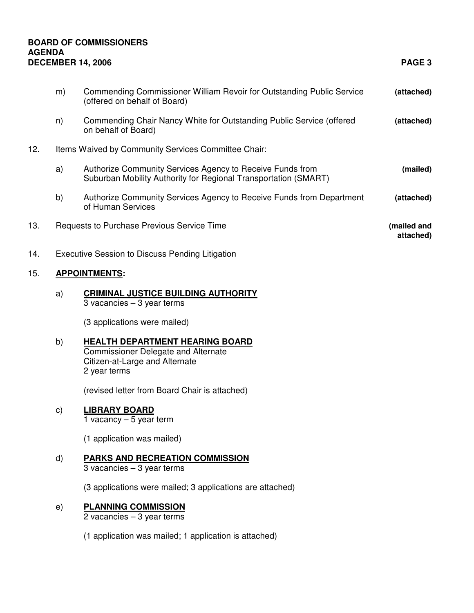# **BOARD OF COMMISSIONERS AGENDA DECEMBER 14, 2006 PAGE 3**

15. **APPOINTMENTS:**

|     | m)                                                     | <b>Commending Commissioner William Revoir for Outstanding Public Service</b><br>(offered on behalf of Board)                           | (attached)               |  |  |
|-----|--------------------------------------------------------|----------------------------------------------------------------------------------------------------------------------------------------|--------------------------|--|--|
|     | n)                                                     | Commending Chair Nancy White for Outstanding Public Service (offered<br>on behalf of Board)                                            | (attached)               |  |  |
| 12. | Items Waived by Community Services Committee Chair:    |                                                                                                                                        |                          |  |  |
|     | a)                                                     | Authorize Community Services Agency to Receive Funds from<br>Suburban Mobility Authority for Regional Transportation (SMART)           | (mailed)                 |  |  |
|     | b)                                                     | Authorize Community Services Agency to Receive Funds from Department<br>of Human Services                                              | (attached)               |  |  |
| 13. |                                                        | Requests to Purchase Previous Service Time                                                                                             | (mailed and<br>attached) |  |  |
| 14. | <b>Executive Session to Discuss Pending Litigation</b> |                                                                                                                                        |                          |  |  |
| 15. | <b>APPOINTMENTS:</b>                                   |                                                                                                                                        |                          |  |  |
|     | a)                                                     | <b>CRIMINAL JUSTICE BUILDING AUTHORITY</b><br>$3$ vacancies $-3$ year terms                                                            |                          |  |  |
|     |                                                        | (3 applications were mailed)                                                                                                           |                          |  |  |
|     | b)                                                     | <b>HEALTH DEPARTMENT HEARING BOARD</b><br><b>Commissioner Delegate and Alternate</b><br>Citizen-at-Large and Alternate<br>2 year terms |                          |  |  |
|     |                                                        | (revised letter from Board Chair is attached)                                                                                          |                          |  |  |
|     | $\mathsf{c})$                                          | <b>LIBRARY BOARD</b><br>1 vacancy $-5$ year term                                                                                       |                          |  |  |
|     |                                                        | (1 application was mailed)                                                                                                             |                          |  |  |
|     | d)                                                     | <b>PARKS AND RECREATION COMMISSION</b><br>$3$ vacancies $-3$ year terms                                                                |                          |  |  |
|     |                                                        | (3 applications were mailed; 3 applications are attached)                                                                              |                          |  |  |
|     |                                                        |                                                                                                                                        |                          |  |  |

e) **PLANNING COMMISSION**

2 vacancies – 3 year terms

(1 application was mailed; 1 application is attached)